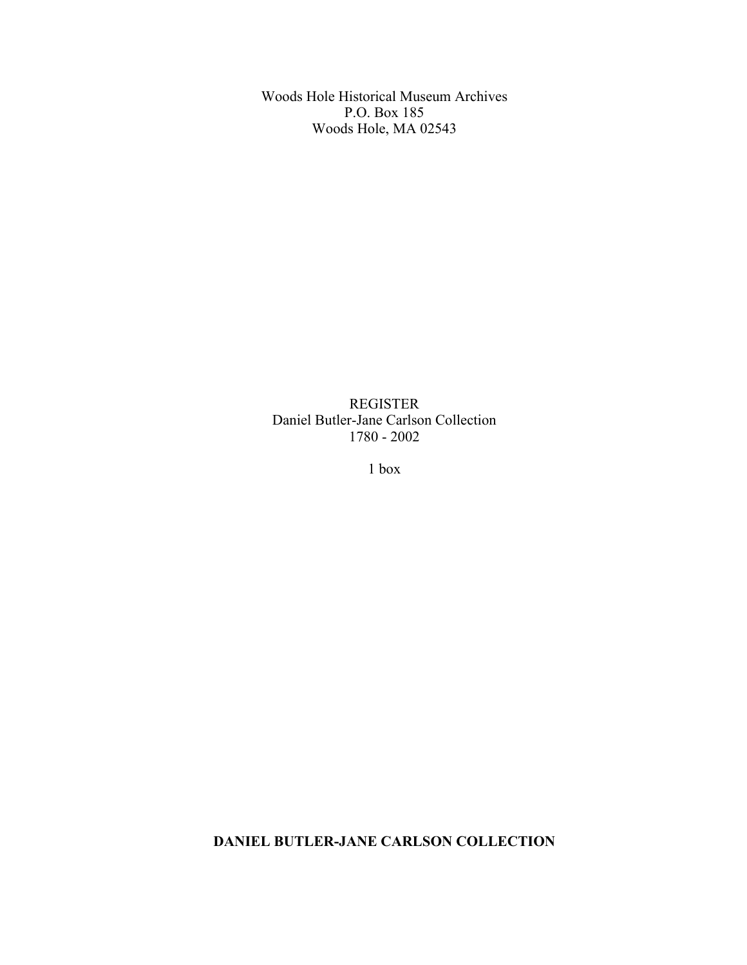Woods Hole Historical Museum Archives P.O. Box 185 Woods Hole, MA 02543

REGISTER Daniel Butler-Jane Carlson Collection 1780 - 2002

1 box

**DANIEL BUTLER-JANE CARLSON COLLECTION**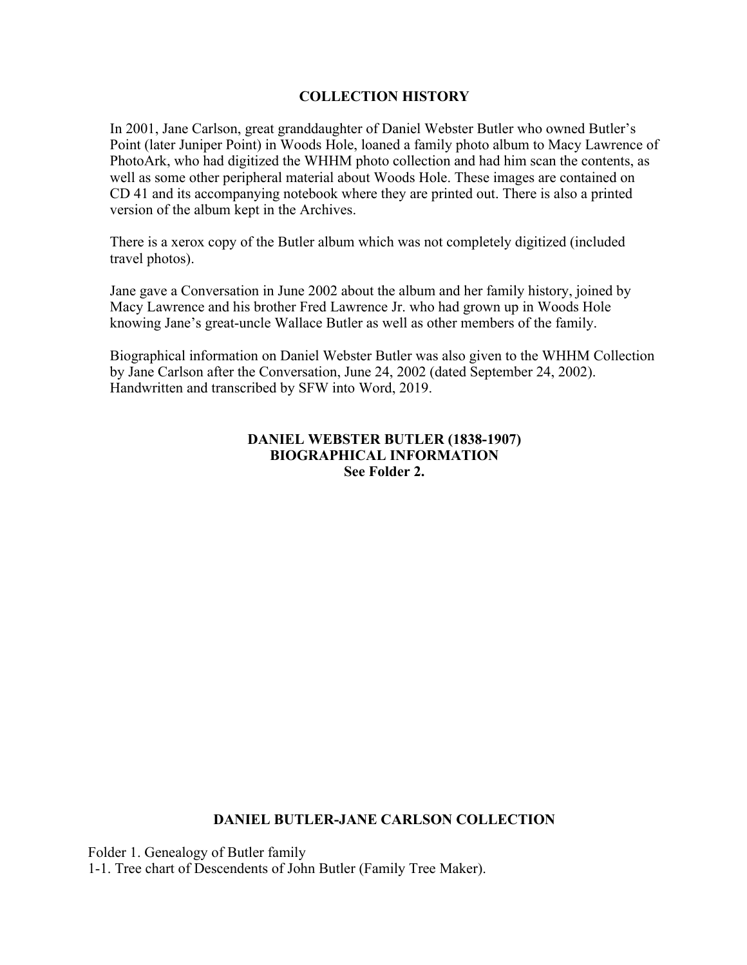## **COLLECTION HISTORY**

In 2001, Jane Carlson, great granddaughter of Daniel Webster Butler who owned Butler's Point (later Juniper Point) in Woods Hole, loaned a family photo album to Macy Lawrence of PhotoArk, who had digitized the WHHM photo collection and had him scan the contents, as well as some other peripheral material about Woods Hole. These images are contained on CD 41 and its accompanying notebook where they are printed out. There is also a printed version of the album kept in the Archives.

There is a xerox copy of the Butler album which was not completely digitized (included travel photos).

Jane gave a Conversation in June 2002 about the album and her family history, joined by Macy Lawrence and his brother Fred Lawrence Jr. who had grown up in Woods Hole knowing Jane's great-uncle Wallace Butler as well as other members of the family.

Biographical information on Daniel Webster Butler was also given to the WHHM Collection by Jane Carlson after the Conversation, June 24, 2002 (dated September 24, 2002). Handwritten and transcribed by SFW into Word, 2019.

## **DANIEL WEBSTER BUTLER (1838-1907) BIOGRAPHICAL INFORMATION See Folder 2.**

## **DANIEL BUTLER-JANE CARLSON COLLECTION**

Folder 1. Genealogy of Butler family 1-1. Tree chart of Descendents of John Butler (Family Tree Maker).